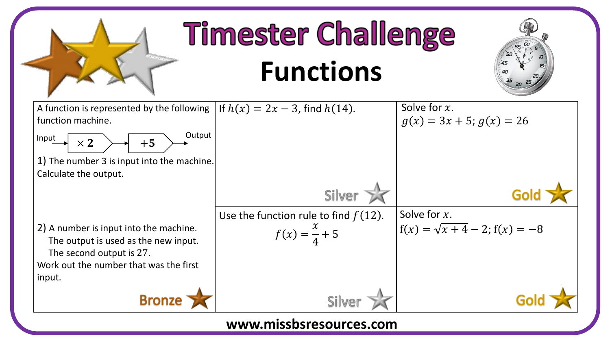

**www.missbsresources.com**